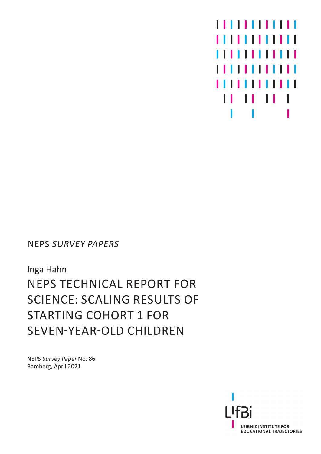

NEPS SURVEY PAPERS

Inga Hahn NEPS TECHNICAL REPORT FOR SCIENCE: SCALING RESULTS OF STARTING COHORT 1 FOR SEVEN-YEAR-OLD CHILDREN

NEPS Survey Paper No. 86 Bamberg, April 2021

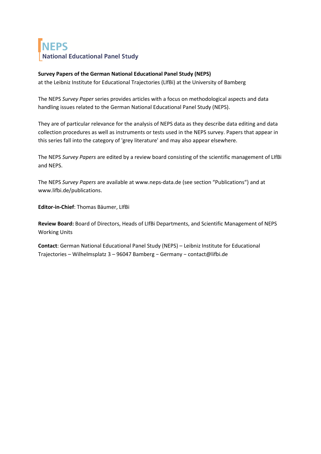# **NEPS National Educational Panel Study**

#### **Survey Papers of the German National Educational Panel Study (NEPS)**

at the Leibniz Institute for Educational Trajectories (LIfBi) at the University of Bamberg

The NEPS *Survey Paper* series provides articles with a focus on methodological aspects and data handling issues related to the German National Educational Panel Study (NEPS).

They are of particular relevance for the analysis of NEPS data as they describe data editing and data collection procedures as well as instruments or tests used in the NEPS survey. Papers that appear in this series fall into the category of 'grey literature' and may also appear elsewhere.

The NEPS *Survey Papers* are edited by a review board consisting of the scientific management of LIfBi and NEPS.

The NEPS *Survey Papers* are available at www.neps-data.de (see section "Publications") and at www.lifbi.de/publications.

**Editor-in-Chief**: Thomas Bäumer, LIfBi

**Review Board:** Board of Directors, Heads of LIfBi Departments, and Scientific Management of NEPS Working Units

**Contact**: German National Educational Panel Study (NEPS) – Leibniz Institute for Educational Trajectories – Wilhelmsplatz 3 – 96047 Bamberg − Germany − contact@lifbi.de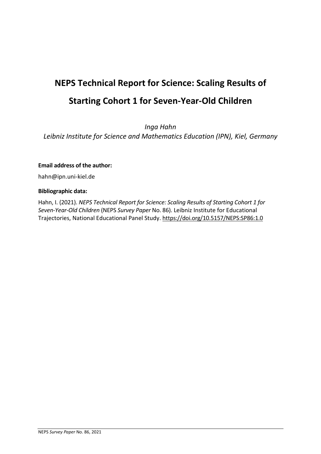# **NEPS Technical Report for Science: Scaling Results of Starting Cohort 1 for Seven-Year-Old Children**

*Inga Hahn*

*Leibniz Institute for Science and Mathematics Education (IPN), Kiel, Germany*

#### **Email address of the author:**

hahn@ipn.uni-kiel.de

#### **Bibliographic data:**

Hahn, I. (2021). *NEPS Technical Report for Science: Scaling Results of Starting Cohort 1 for Seven-Year-Old Children* (NEPS *Survey Paper* No. 86). Leibniz Institute for Educational Trajectories, National Educational Panel Study. https://doi.org/10.5157/NEPS:SP86:1.0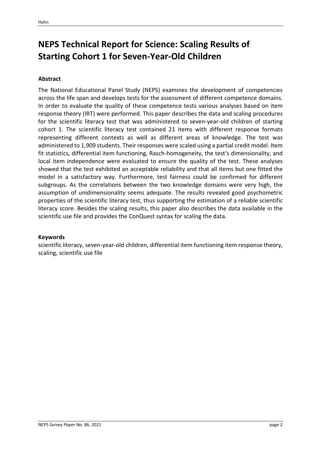# **NEPS Technical Report for Science: Scaling Results of Starting Cohort 1 for Seven-Year-Old Children**

#### **Abstract**

The National Educational Panel Study (NEPS) examines the development of competencies across the life span and develops tests for the assessment of different competence domains. In order to evaluate the quality of these competence tests various analyses based on item response theory (IRT) were performed. This paper describes the data and scaling procedures for the scientific literacy test that was administered to seven-year-old children of starting cohort 1. The scientific literacy test contained 21 items with different response formats representing different contexts as well as different areas of knowledge. The test was administered to 1,909 students. Their responses were scaled using a partial credit model. Item fit statistics, differential item functioning, Rasch-homogeneity, the test's dimensionality, and local item independence were evaluated to ensure the quality of the test. These analyses showed that the test exhibited an acceptable reliability and that all items but one fitted the model in a satisfactory way. Furthermore, test fairness could be confirmed for different subgroups. As the correlations between the two knowledge domains were very high, the assumption of unidimensionality seems adequate. The results revealed good psychometric properties of the scientific literacy test, thus supporting the estimation of a reliable scientific literacy score. Besides the scaling results, this paper also describes the data available in the scientific use file and provides the ConQuest syntax for scaling the data.

#### **Keywords**

scientific literacy, seven-year-old children, differential item functioning item response theory, scaling, scientific use file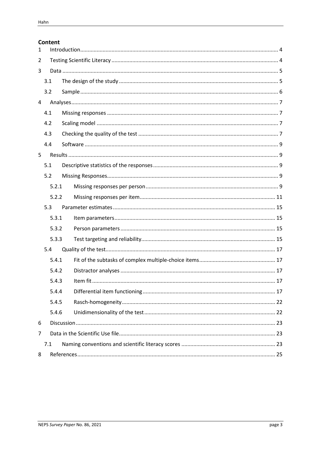#### Content

| $\mathbf{1}$   |                |  |  |  |  |  |  |  |
|----------------|----------------|--|--|--|--|--|--|--|
| 2              |                |  |  |  |  |  |  |  |
| 3              |                |  |  |  |  |  |  |  |
|                | 3.1            |  |  |  |  |  |  |  |
|                | 3.2            |  |  |  |  |  |  |  |
| $\overline{4}$ |                |  |  |  |  |  |  |  |
|                | 4.1            |  |  |  |  |  |  |  |
|                | 4.2            |  |  |  |  |  |  |  |
|                | 4.3            |  |  |  |  |  |  |  |
|                | 4.4            |  |  |  |  |  |  |  |
| 5              |                |  |  |  |  |  |  |  |
|                | 5.1            |  |  |  |  |  |  |  |
|                | 5.2            |  |  |  |  |  |  |  |
|                | 5.2.1<br>5.2.2 |  |  |  |  |  |  |  |
|                |                |  |  |  |  |  |  |  |
|                | 5.3            |  |  |  |  |  |  |  |
|                | 5.3.1          |  |  |  |  |  |  |  |
|                | 5.3.2          |  |  |  |  |  |  |  |
|                | 5.3.3          |  |  |  |  |  |  |  |
|                | 5.4            |  |  |  |  |  |  |  |
|                | 5.4.1          |  |  |  |  |  |  |  |
|                | 5.4.2          |  |  |  |  |  |  |  |
|                | 5.4.3          |  |  |  |  |  |  |  |
|                | 5.4.4          |  |  |  |  |  |  |  |
|                | 5.4.5          |  |  |  |  |  |  |  |
|                | 5.4.6          |  |  |  |  |  |  |  |
| 6              |                |  |  |  |  |  |  |  |
| 7              |                |  |  |  |  |  |  |  |
|                | 7.1            |  |  |  |  |  |  |  |
| 8              |                |  |  |  |  |  |  |  |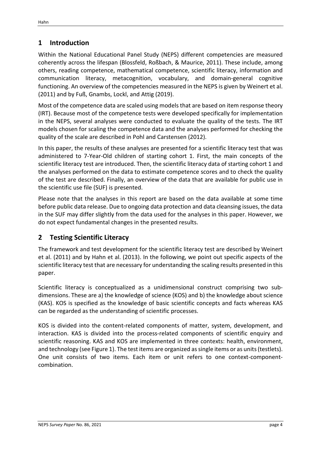# <span id="page-5-0"></span>**1 Introduction**

Within the National Educational Panel Study (NEPS) different competencies are measured coherently across the lifespan (Blossfeld, Roßbach, & Maurice, 2011). These include, among others, reading competence, mathematical competence, scientific literacy, information and communication literacy, metacognition, vocabulary, and domain-general cognitive functioning. An overview of the competencies measured in the NEPS is given by Weinert et al. (2011) and by Fuß, Gnambs, Lockl, and Attig (2019).

Most of the competence data are scaled using models that are based on item response theory (IRT). Because most of the competence tests were developed specifically for implementation in the NEPS, several analyses were conducted to evaluate the quality of the tests. The IRT models chosen for scaling the competence data and the analyses performed for checking the quality of the scale are described in Pohl and Carstensen (2012).

In this paper, the results of these analyses are presented for a scientific literacy test that was administered to 7-Year-Old children of starting cohort 1. First, the main concepts of the scientific literacy test are introduced. Then, the scientific literacy data of starting cohort 1 and the analyses performed on the data to estimate competence scores and to check the quality of the test are described. Finally, an overview of the data that are available for public use in the scientific use file (SUF) is presented.

Please note that the analyses in this report are based on the data available at some time before public data release. Due to ongoing data protection and data cleansing issues, the data in the SUF may differ slightly from the data used for the analyses in this paper. However, we do not expect fundamental changes in the presented results.

# <span id="page-5-1"></span>**2 Testing Scientific Literacy**

The framework and test development for the scientific literacy test are described by Weinert et al. (2011) and by Hahn et al. (2013). In the following, we point out specific aspects of the scientific literacy test that are necessary for understanding the scaling results presented in this paper.

Scientific literacy is conceptualized as a unidimensional construct comprising two subdimensions. These are a) the knowledge of science (KOS) and b) the knowledge about science (KAS). KOS is specified as the knowledge of basic scientific concepts and facts whereas KAS can be regarded as the understanding of scientific processes.

KOS is divided into the content-related components of matter, system, development, and interaction. KAS is divided into the process-related components of scientific enquiry and scientific reasoning. KAS and KOS are implemented in three contexts: health, environment, and technology (see [Figure 1\)](#page-6-2). The test items are organized as single items or as units (testlets). One unit consists of two items. Each item or unit refers to one context-componentcombination.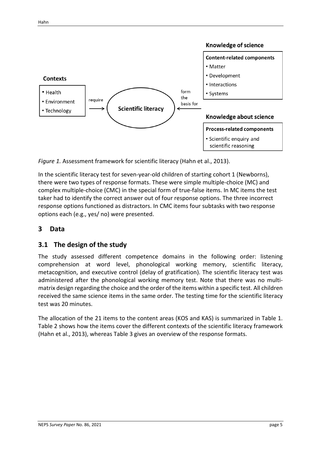

<span id="page-6-2"></span>*Figure 1.* Assessment framework for scientific literacy (Hahn et al., 2013).

In the scientific literacy test for seven-year-old children of starting cohort 1 (Newborns), there were two types of response formats. These were simple multiple-choice (MC) and complex multiple-choice (CMC) in the special form of true-false items. In MC items the test taker had to identify the correct answer out of four response options. The three incorrect response options functioned as distractors. In CMC items four subtasks with two response options each (e.g., yes/ no) were presented.

# <span id="page-6-0"></span>**3 Data**

# <span id="page-6-1"></span>**3.1 The design of the study**

The study assessed different competence domains in the following order: listening comprehension at word level, phonological working memory, scientific literacy, metacognition, and executive control (delay of gratification). The scientific literacy test was administered after the phonological working memory test. Note that there was no multimatrix design regarding the choice and the order of the items within a specific test. All children received the same science items in the same order. The testing time for the scientific literacy test was 20 minutes.

The allocation of the 21 items to the content areas (KOS and KAS) is summarized in [Table 1.](#page-7-1) [Table 2](#page-7-2) shows how the items cover the different contexts of the scientific literacy framework (Hahn et al., 2013), whereas [Table 3](#page-7-3) gives an overview of the response formats.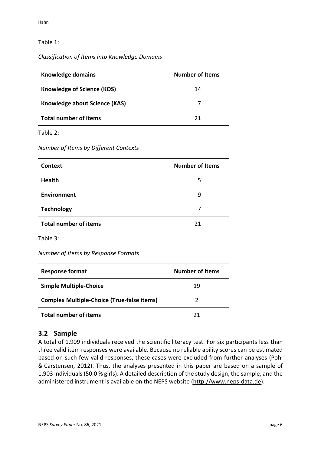## <span id="page-7-1"></span>Table 1:

#### *Classification of Items into Knowledge Domains*

| Knowledge domains             | <b>Number of Items</b> |
|-------------------------------|------------------------|
| Knowledge of Science (KOS)    | 14                     |
| Knowledge about Science (KAS) |                        |
| <b>Total number of items</b>  | 21                     |

<span id="page-7-2"></span>Table 2:

*Number of Items by Different Contexts*

| <b>Context</b>               | <b>Number of Items</b> |
|------------------------------|------------------------|
| <b>Health</b>                | 5                      |
| Environment                  | 9                      |
| <b>Technology</b>            | 7                      |
| <b>Total number of items</b> | 21                     |

<span id="page-7-3"></span>Table 3:

*Number of Items by Response Formats*

| <b>Response format</b>                            | <b>Number of Items</b> |
|---------------------------------------------------|------------------------|
| <b>Simple Multiple-Choice</b>                     | 19                     |
| <b>Complex Multiple-Choice (True-false items)</b> |                        |
| <b>Total number of items</b>                      | 21                     |

# <span id="page-7-0"></span>**3.2 Sample**

A total of 1,909 individuals received the scientific literacy test. For six participants less than three valid item responses were available. Because no reliable ability scores can be estimated based on such few valid responses, these cases were excluded from further analyses (Pohl & Carstensen, 2012). Thus, the analyses presented in this paper are based on a sample of 1,903 individuals (50.0 % girls). A detailed description of the study design, the sample, and the administered instrument is available on the NEPS website [\(http://www.neps-data.de\)](http://www.neps-data.de/).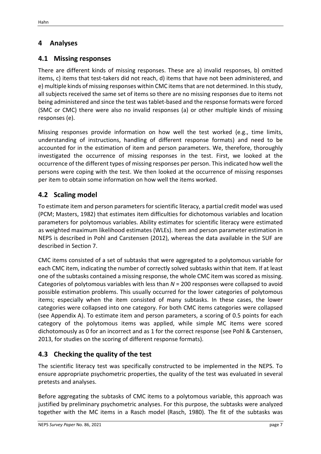# <span id="page-8-0"></span>**4 Analyses**

# <span id="page-8-1"></span>**4.1 Missing responses**

There are different kinds of missing responses. These are a) invalid responses, b) omitted items, c) items that test-takers did not reach, d) items that have not been administered, and e) multiple kinds of missing responses within CMC items that are not determined. In this study, all subjects received the same set of items so there are no missing responses due to items not being administered and since the test was tablet-based and the response formats were forced (SMC or CMC) there were also no invalid responses (a) or other multiple kinds of missing responses (e).

Missing responses provide information on how well the test worked (e.g., time limits, understanding of instructions, handling of different response formats) and need to be accounted for in the estimation of item and person parameters. We, therefore, thoroughly investigated the occurrence of missing responses in the test. First, we looked at the occurrence of the different types of missing responses per person. This indicated how well the persons were coping with the test. We then looked at the occurrence of missing responses per item to obtain some information on how well the items worked.

# <span id="page-8-2"></span>**4.2 Scaling model**

To estimate item and person parameters for scientific literacy, a partial credit model was used (PCM; Masters, 1982) that estimates item difficulties for dichotomous variables and location parameters for polytomous variables. Ability estimates for scientific literacy were estimated as weighted maximum likelihood estimates (WLEs). Item and person parameter estimation in NEPS is described in Pohl and Carstensen (2012), whereas the data available in the SUF are described in Section 7.

CMC items consisted of a set of subtasks that were aggregated to a polytomous variable for each CMC item, indicating the number of correctly solved subtasks within that item. If at least one of the subtasks contained a missing response, the whole CMC item was scored as missing. Categories of polytomous variables with less than *N* = 200 responses were collapsed to avoid possible estimation problems. This usually occurred for the lower categories of polytomous items; especially when the item consisted of many subtasks. In these cases, the lower categories were collapsed into one category. For both CMC items categories were collapsed (see Appendix A). To estimate item and person parameters, a scoring of 0.5 points for each category of the polytomous items was applied, while simple MC items were scored dichotomously as 0 for an incorrect and as 1 for the correct response (see Pohl & Carstensen, 2013, for studies on the scoring of different response formats).

# <span id="page-8-3"></span>**4.3 Checking the quality of the test**

The scientific literacy test was specifically constructed to be implemented in the NEPS. To ensure appropriate psychometric properties, the quality of the test was evaluated in several pretests and analyses.

Before aggregating the subtasks of CMC items to a polytomous variable, this approach was justified by preliminary psychometric analyses. For this purpose, the subtasks were analyzed together with the MC items in a Rasch model (Rasch, 1980). The fit of the subtasks was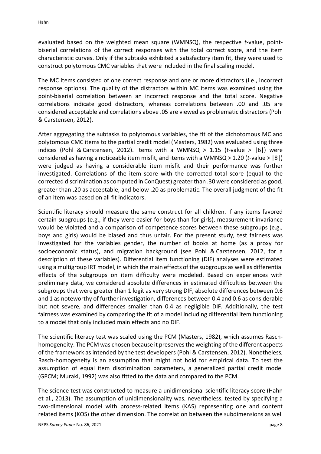evaluated based on the weighted mean square (WMNSQ), the respective *t*-value, pointbiserial correlations of the correct responses with the total correct score, and the item characteristic curves. Only if the subtasks exhibited a satisfactory item fit, they were used to construct polytomous CMC variables that were included in the final scaling model.

The MC items consisted of one correct response and one or more distractors (i.e., incorrect response options). The quality of the distractors within MC items was examined using the point-biserial correlation between an incorrect response and the total score. Negative correlations indicate good distractors, whereas correlations between .00 and .05 are considered acceptable and correlations above .05 are viewed as problematic distractors (Pohl & Carstensen, 2012).

After aggregating the subtasks to polytomous variables, the fit of the dichotomous MC and polytomous CMC items to the partial credit model (Masters, 1982) was evaluated using three indices (Pohl & Carstensen, 2012). Items with a WMNSQ  $> 1.15$  (*t*-value  $>$   $|6|$ ) were considered as having a noticeable item misfit, and items with a WMNSQ > 1.20 (*t*-value > |8|) were judged as having a considerable item misfit and their performance was further investigated. Correlations of the item score with the corrected total score (equal to the corrected discrimination as computed in ConQuest) greater than .30 were considered as good, greater than .20 as acceptable, and below .20 as problematic. The overall judgment of the fit of an item was based on all fit indicators.

Scientific literacy should measure the same construct for all children. If any items favored certain subgroups (e.g., if they were easier for boys than for girls), measurement invariance would be violated and a comparison of competence scores between these subgroups (e.g., boys and girls) would be biased and thus unfair. For the present study, test fairness was investigated for the variables gender, the number of books at home (as a proxy for socioeconomic status), and migration background (see Pohl & Carstensen, 2012, for a description of these variables). Differential item functioning (DIF) analyses were estimated using a multigroup IRT model, in which the main effects of the subgroups as well as differential effects of the subgroups on item difficulty were modeled. Based on experiences with preliminary data, we considered absolute differences in estimated difficulties between the subgroups that were greater than 1 logit as very strong DIF, absolute differences between 0.6 and 1 as noteworthy of further investigation, differences between 0.4 and 0.6 as considerable but not severe, and differences smaller than 0.4 as negligible DIF. Additionally, the test fairness was examined by comparing the fit of a model including differential item functioning to a model that only included main effects and no DIF.

The scientific literacy test was scaled using the PCM (Masters, 1982), which assumes Raschhomogeneity. The PCM was chosen because it preserves the weighting of the different aspects of the framework as intended by the test developers (Pohl & Carstensen, 2012). Nonetheless, Rasch-homogeneity is an assumption that might not hold for empirical data. To test the assumption of equal item discrimination parameters, a generalized partial credit model (GPCM; Muraki, 1992) was also fitted to the data and compared to the PCM.

The science test was constructed to measure a unidimensional scientific literacy score (Hahn et al., 2013). The assumption of unidimensionality was, nevertheless, tested by specifying a two-dimensional model with process-related items (KAS) representing one and content related items (KOS) the other dimension. The correlation between the subdimensions as well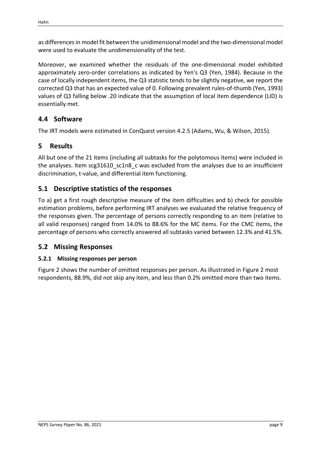as differences in model fit between the unidimensional model and the two-dimensional model were used to evaluate the unidimensionality of the test.

Moreover, we examined whether the residuals of the one-dimensional model exhibited approximately zero-order correlations as indicated by Yen's Q3 (Yen, 1984). Because in the case of locally independent items, the Q3 statistic tends to be slightly negative, we report the corrected Q3 that has an expected value of 0. Following prevalent rules-of-thumb (Yen, 1993) values of Q3 falling below .20 indicate that the assumption of local item dependence (LID) is essentially met.

# <span id="page-10-0"></span>**4.4 Software**

The IRT models were estimated in ConQuest version 4.2.5 (Adams, Wu, & Wilson, 2015).

# <span id="page-10-1"></span>**5 Results**

All but one of the 21 items (including all subtasks for the polytomous items) were included in the analyses. Item scg31610\_sc1n8\_c was excluded from the analyses due to an insufficient discrimination, t-value, and differential item functioning.

# <span id="page-10-2"></span>**5.1 Descriptive statistics of the responses**

To a) get a first rough descriptive measure of the item difficulties and b) check for possible estimation problems, before performing IRT analyses we evaluated the relative frequency of the responses given. The percentage of persons correctly responding to an item (relative to all valid responses) ranged from 14.0% to 88.6% for the MC items. For the CMC items, the percentage of persons who correctly answered all subtasks varied between 12.3% and 41.5%.

# <span id="page-10-3"></span>**5.2 Missing Responses**

# <span id="page-10-4"></span>**5.2.1 Missing responses per person**

[Figure 2](#page-11-0) shows the number of omitted responses per person. As illustrated in [Figure 2](#page-11-0) most respondents, 88.9%, did not skip any item, and less than 0.2% omitted more than two items.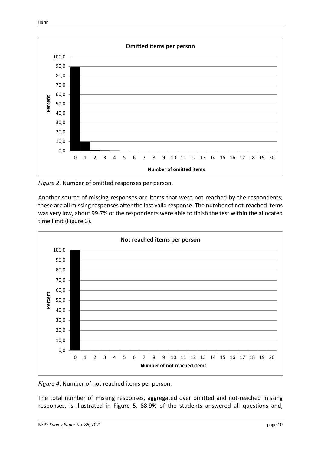#### Content

| $\mathbf{1}$   |                |  |  |  |  |  |  |  |
|----------------|----------------|--|--|--|--|--|--|--|
| 2              |                |  |  |  |  |  |  |  |
| 3              |                |  |  |  |  |  |  |  |
|                | 3.1            |  |  |  |  |  |  |  |
|                | 3.2            |  |  |  |  |  |  |  |
| $\overline{4}$ |                |  |  |  |  |  |  |  |
|                | 4.1            |  |  |  |  |  |  |  |
|                | 4.2            |  |  |  |  |  |  |  |
|                | 4.3            |  |  |  |  |  |  |  |
|                | 4.4            |  |  |  |  |  |  |  |
| 5              |                |  |  |  |  |  |  |  |
|                | 5.1            |  |  |  |  |  |  |  |
|                | 5.2            |  |  |  |  |  |  |  |
|                | 5.2.1<br>5.2.2 |  |  |  |  |  |  |  |
|                |                |  |  |  |  |  |  |  |
|                | 5.3            |  |  |  |  |  |  |  |
|                | 5.3.1          |  |  |  |  |  |  |  |
|                | 5.3.2          |  |  |  |  |  |  |  |
|                | 5.3.3          |  |  |  |  |  |  |  |
|                | 5.4            |  |  |  |  |  |  |  |
|                | 5.4.1          |  |  |  |  |  |  |  |
|                | 5.4.2          |  |  |  |  |  |  |  |
|                | 5.4.3          |  |  |  |  |  |  |  |
|                | 5.4.4          |  |  |  |  |  |  |  |
|                | 5.4.5          |  |  |  |  |  |  |  |
|                | 5.4.6          |  |  |  |  |  |  |  |
| 6              |                |  |  |  |  |  |  |  |
| 7              |                |  |  |  |  |  |  |  |
|                | 7.1            |  |  |  |  |  |  |  |
| 8              |                |  |  |  |  |  |  |  |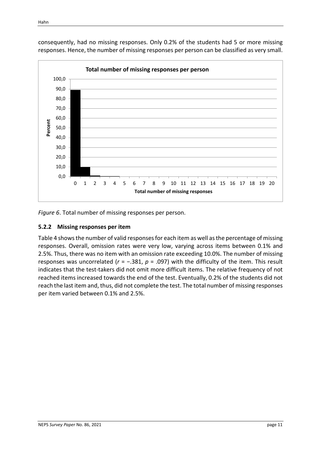

consequently, had no missing responses. Only 0.2% of the students had 5 or more missing responses. Hence, the number of missing responses per person can be classified as very small.

*Figure 4*. Total number of missing responses per person.

#### <span id="page-12-0"></span>**5.2.2 Missing responses per item**

Table 4 shows the number of valid responses for each item as well as the percentage of missing responses. Overall, omission rates were very low, varying across items between 0.1% and 2.5%. Thus, there was no item with an omission rate exceeding 10.0%. The number of missing responses was uncorrelated (*r* = −.381, *p* = .097) with the difficulty of the item. This result indicates that the test-takers did not omit more difficult items. The relative frequency of not reached items increased towards the end of the test. Eventually, 0.2% of the students did not reach the last item and, thus, did not complete the test. The total number of missing responses per item varied between 0.1% and 2.5%.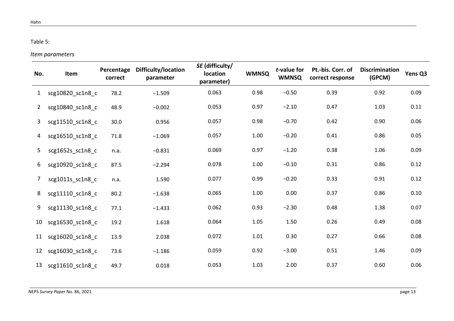#### Table 5:

## *Item parameters*

<span id="page-14-0"></span>

| No.          | Item                | Percentage<br>correct | Difficulty/location<br>parameter | SE (difficulty/<br>location<br>parameter) | <b>WMNSQ</b> | t-value for<br><b>WMNSQ</b> | Pt.-bis. Corr. of<br>correct response | <b>Discrimination</b><br>(GPCM) | Yens Q3 |
|--------------|---------------------|-----------------------|----------------------------------|-------------------------------------------|--------------|-----------------------------|---------------------------------------|---------------------------------|---------|
| $\mathbf{1}$ | scg10820_sc1n8_c    | 78.2                  | $-1.509$                         | 0.063                                     | 0.98         | $-0.50$                     | 0.39                                  | 0.92                            | 0.09    |
| $\mathbf{2}$ | scg10840 sc1n8 c    | 48.9                  | $-0.002$                         | 0.053                                     | 0.97         | $-2.10$                     | 0.47                                  | 1.03                            | 0.11    |
| 3            | scg11510 sc1n8 c    | 30.0                  | 0.956                            | 0.057                                     | 0.98         | $-0.70$                     | 0.42                                  | 0.90                            | 0.06    |
| 4            | scg16510_sc1n8_c    | 71.8                  | $-1.069$                         | 0.057                                     | 1.00         | $-0.20$                     | 0.41                                  | 0.86                            | 0.05    |
| 5            | scg1652s_sc1n8_c    | n.a.                  | $-0.831$                         | 0.069                                     | 0.97         | $-1.20$                     | 0.38                                  | 1.06                            | 0.09    |
| 6            | scg10920_sc1n8_c    | 87.5                  | $-2.294$                         | 0.078                                     | 1.00         | $-0.10$                     | 0.31                                  | 0.86                            | 0.12    |
| 7            | scg1011s sc1n8 c    | n.a.                  | 1.590                            | 0.077                                     | 0.99         | $-0.20$                     | 0.33                                  | 0.91                            | 0.12    |
| 8            | scg11110_sc1n8_c    | 80.2                  | $-1.638$                         | 0.065                                     | 1.00         | 0.00                        | 0.37                                  | 0.86                            | 0.10    |
| 9            | scg11130 sc1n8 c    | 77.1                  | $-1.433$                         | 0.062                                     | 0.93         | $-2.30$                     | 0.48                                  | 1.38                            | 0.07    |
| 10           | scg16530 sc1n8 c    | 19.2                  | 1.618                            | 0.064                                     | 1.05         | 1.50                        | 0.26                                  | 0.49                            | 0.08    |
| 11           | scg16020 sc1n8 c    | 13.9                  | 2.038                            | 0.072                                     | 1.01         | 0.30                        | 0.27                                  | 0.66                            | 0.08    |
| 12           | scg16030_sc1n8_c    | 73.6                  | $-1.186$                         | 0.059                                     | 0.92         | $-3.00$                     | 0.51                                  | 1.46                            | 0.09    |
|              | 13 scg11610_sc1n8_c | 49.7                  | 0.018                            | 0.053                                     | 1.03         | 2.00                        | 0.37                                  | 0.60                            | 0.06    |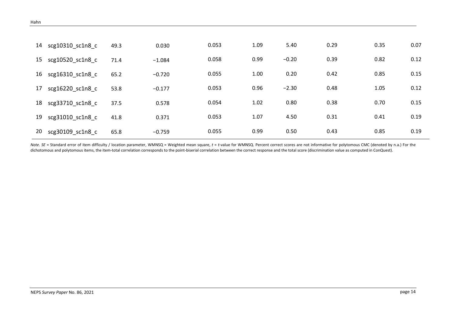| 14 | scg10310 sc1n8 c | 49.3 | 0.030    | 0.053 | 1.09 | 5.40    | 0.29 | 0.35 | 0.07 |
|----|------------------|------|----------|-------|------|---------|------|------|------|
| 15 | scg10520 sc1n8 c | 71.4 | $-1.084$ | 0.058 | 0.99 | $-0.20$ | 0.39 | 0.82 | 0.12 |
| 16 | scg16310 sc1n8 c | 65.2 | $-0.720$ | 0.055 | 1.00 | 0.20    | 0.42 | 0.85 | 0.15 |
| 17 | scg16220 sc1n8 c | 53.8 | $-0.177$ | 0.053 | 0.96 | $-2.30$ | 0.48 | 1.05 | 0.12 |
| 18 | scg33710 sc1n8 c | 37.5 | 0.578    | 0.054 | 1.02 | 0.80    | 0.38 | 0.70 | 0.15 |
| 19 | scg31010 sc1n8 c | 41.8 | 0.371    | 0.053 | 1.07 | 4.50    | 0.31 | 0.41 | 0.19 |
| 20 | scg30109 sc1n8 c | 65.8 | $-0.759$ | 0.055 | 0.99 | 0.50    | 0.43 | 0.85 | 0.19 |

Note. SE = Standard error of item difficulty / location parameter, WMNSQ = Weighted mean square, t = t-value for WMNSQ. Percent correct scores are not informative for polytomous CMC (denoted by n.a.) For the dichotomous and polytomous items, the item-total correlation corresponds to the point-biserial correlation between the correct response and the total score (discrimination value as computed in ConQuest).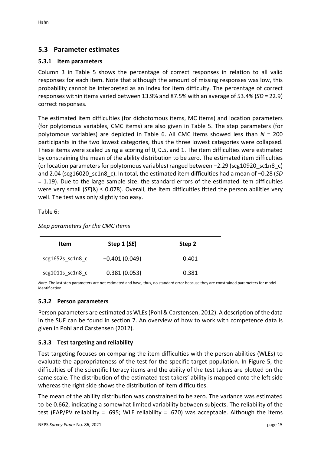# <span id="page-16-0"></span>**5.3 Parameter estimates**

### <span id="page-16-1"></span>**5.3.1 Item parameters**

Column 3 in Table 5 shows the percentage of correct responses in relation to all valid responses for each item. Note that although the amount of missing responses was low, this probability cannot be interpreted as an index for item difficulty. The percentage of correct responses within items varied between 13.9% and 87.5% with an average of 53.4% (*SD* = 22.9) correct responses.

The estimated item difficulties (for dichotomous items, MC items) and location parameters (for polytomous variables, CMC items) are also given in Table 5. The step parameters (for polytomous variables) are depicted in Table 6. All CMC items showed less than *N* = 200 participants in the two lowest categories, thus the three lowest categories were collapsed. These items were scaled using a scoring of 0, 0.5, and 1. The item difficulties were estimated by constraining the mean of the ability distribution to be zero. The estimated item difficulties (or location parameters for polytomous variables) ranged between −2.29 (scg10920\_sc1n8\_c) and 2.04 (scg16020\_sc1n8\_c). In total, the estimated item difficulties had a mean of −0.28 (*SD* = 1.19). Due to the large sample size, the standard errors of the estimated item difficulties were very small  $(SE(S) \le 0.078)$ . Overall, the item difficulties fitted the person abilities very well. The test was only slightly too easy.

Table 6:

#### *Step parameters for the CMC items*

| Item                   | Step $1(SE)$    | Step 2 |  |  |
|------------------------|-----------------|--------|--|--|
| $scg1652s$ $sc1n8$ $c$ | $-0.401(0.049)$ | 0.401  |  |  |
| $scg1011s$ $sc1n8$ c   | $-0.381(0.053)$ | 0.381  |  |  |

*Note.* The last step parameters are not estimated and have, thus, no standard error because they are constrained parameters for model identification.

#### <span id="page-16-2"></span>**5.3.2 Person parameters**

Person parameters are estimated as WLEs (Pohl & Carstensen, 2012). A description of the data in the SUF can be found in section 7. An overview of how to work with competence data is given in Pohl and Carstensen (2012).

#### <span id="page-16-3"></span>**5.3.3 Test targeting and reliability**

Test targeting focuses on comparing the item difficulties with the person abilities (WLEs) to evaluate the appropriateness of the test for the specific target population. In [Figure 5,](#page-18-5) the difficulties of the scientific literacy items and the ability of the test takers are plotted on the same scale. The distribution of the estimated test takers' ability is mapped onto the left side whereas the right side shows the distribution of item difficulties.

The mean of the ability distribution was constrained to be zero. The variance was estimated to be 0.662, indicating a somewhat limited variability between subjects. The reliability of the test (EAP/PV reliability = .695; WLE reliability = .670) was acceptable. Although the items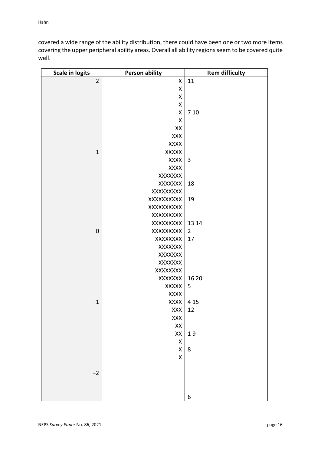| covered a wide range of the ability distribution, there could have been one or two more items     |
|---------------------------------------------------------------------------------------------------|
| covering the upper peripheral ability areas. Overall all ability regions seem to be covered quite |
| well.                                                                                             |

| <b>Scale in logits</b> | <b>Person ability</b> | Item difficulty |
|------------------------|-----------------------|-----------------|
| $\overline{2}$         | Χ                     | 11              |
|                        | Χ                     |                 |
|                        | Χ                     |                 |
|                        | X                     |                 |
|                        | Χ                     | 7 10            |
|                        | Χ                     |                 |
|                        | XX                    |                 |
|                        | XXX                   |                 |
|                        | XXXX                  |                 |
| $\mathbf 1$            | <b>XXXXX</b>          |                 |
|                        | XXXX                  | $\overline{3}$  |
|                        | <b>XXXX</b>           |                 |
|                        | XXXXXXX               |                 |
|                        | XXXXXXX               | 18              |
|                        | XXXXXXXX              |                 |
|                        | XXXXXXXXX             | 19              |
|                        | XXXXXXXXX             |                 |
|                        | XXXXXXXX              |                 |
|                        | XXXXXXXX              | 13 14           |
| $\mathbf 0$            | XXXXXXXX              | $\overline{2}$  |
|                        | XXXXXXX               | 17              |
|                        | XXXXXXX               |                 |
|                        | <b>XXXXXXX</b>        |                 |
|                        | XXXXXXX               |                 |
|                        | XXXXXXX               |                 |
|                        | XXXXXXX               | 16 20           |
|                        | XXXXX                 | 5               |
|                        | <b>XXXX</b>           |                 |
| $-1$                   | XXXX                  | 4 1 5           |
|                        | XXX                   | 12              |
|                        | XXX                   |                 |
|                        | $\mathsf{XX}$         |                 |
|                        | XX                    | 19              |
|                        | $\pmb{\mathsf{X}}$    |                 |
|                        | $\pmb{\mathsf{X}}$    | $\bf 8$         |
|                        | $\mathsf X$           |                 |
|                        |                       |                 |
| $-2$                   |                       |                 |
|                        |                       |                 |
|                        |                       |                 |
|                        |                       | 6               |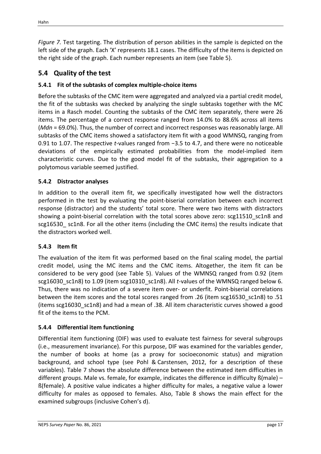<span id="page-18-5"></span>*Figure 5.* Test targeting. The distribution of person abilities in the sample is depicted on the left side of the graph. Each 'X' represents 18.1 cases. The difficulty of the items is depicted on the right side of the graph. Each number represents an item (see Table 5).

# <span id="page-18-0"></span>**5.4 Quality of the test**

# <span id="page-18-1"></span>**5.4.1 Fit of the subtasks of complex multiple-choice items**

Before the subtasks of the CMC item were aggregated and analyzed via a partial credit model, the fit of the subtasks was checked by analyzing the single subtasks together with the MC items in a Rasch model. Counting the subtasks of the CMC item separately, there were 26 items. The percentage of a correct response ranged from 14.0% to 88.6% across all items (*Mdn* = 69.0%). Thus, the number of correct and incorrect responses was reasonably large. All subtasks of the CMC items showed a satisfactory item fit with a good WMNSQ, ranging from 0.91 to 1.07. The respective *t-*values ranged from −3.5 to 4.7, and there were no noticeable deviations of the empirically estimated probabilities from the model-implied item characteristic curves. Due to the good model fit of the subtasks, their aggregation to a polytomous variable seemed justified.

# <span id="page-18-2"></span>**5.4.2 Distractor analyses**

In addition to the overall item fit, we specifically investigated how well the distractors performed in the test by evaluating the point-biserial correlation between each incorrect response (distractor) and the students' total score. There were two items with distractors showing a point-biserial correlation with the total scores above zero: scg11510 sc1n8 and scg16530 sc1n8. For all the other items (including the CMC items) the results indicate that the distractors worked well.

# <span id="page-18-3"></span>**5.4.3 Item fit**

The evaluation of the item fit was performed based on the final scaling model, the partial credit model, using the MC items and the CMC items. Altogether, the item fit can be considered to be very good (see [Table](#page-14-0) 5). Values of the WMNSQ ranged from 0.92 (item scg16030 sc1n8) to 1.09 (item scg10310 sc1n8). All *t*-values of the WMNSQ ranged below 6. Thus, there was no indication of a severe item over- or underfit. Point-biserial correlations between the item scores and the total scores ranged from .26 (item scg16530 sc1n8) to .51 (items scg16030\_sc1n8) and had a mean of .38. All item characteristic curves showed a good fit of the items to the PCM.

#### <span id="page-18-4"></span>**5.4.4 Differential item functioning**

Differential item functioning (DIF) was used to evaluate test fairness for several subgroups (i.e., measurement invariance). For this purpose, DIF was examined for the variables gender, the number of books at home (as a proxy for socioeconomic status) and migration background, and school type (see Pohl & Carstensen, 2012, for a description of these variables). [Table 7](#page-19-0) shows the absolute difference between the estimated item difficulties in different groups. Male vs. female, for example, indicates the difference in difficulty ß(male) – ß(female). A positive value indicates a higher difficulty for males, a negative value a lower difficulty for males as opposed to females. Also, [Table](#page-22-0) 8 shows the main effect for the examined subgroups (inclusive Cohen's d).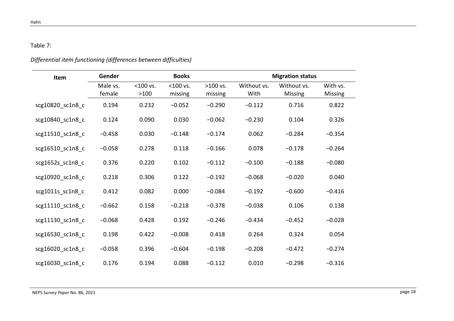## Table 7:

# *Differential item functioning (differences between difficulties)*

<span id="page-19-0"></span>

| Item             | Gender   |             | <b>Books</b> |            |             | <b>Migration status</b> |          |
|------------------|----------|-------------|--------------|------------|-------------|-------------------------|----------|
|                  | Male vs. | $<$ 100 vs. | $<$ 100 vs.  | $>100$ vs. | Without vs. | Without vs.             | With vs. |
|                  | female   | >100        | missing      | missing    | With        | Missing                 | Missing  |
| scg10820_sc1n8_c | 0.194    | 0.232       | $-0.052$     | $-0.290$   | $-0.112$    | 0.716                   | 0.822    |
| scg10840 sc1n8 c | 0.124    | 0.090       | 0.030        | $-0.062$   | $-0.230$    | 0.104                   | 0.326    |
| scg11510_sc1n8_c | $-0.458$ | 0.030       | $-0.148$     | $-0.174$   | 0.062       | $-0.284$                | $-0.354$ |
| scg16510_sc1n8_c | $-0.058$ | 0.278       | 0.118        | $-0.166$   | 0.078       | $-0.178$                | $-0.264$ |
| scg1652s_sc1n8_c | 0.376    | 0.220       | 0.102        | $-0.112$   | $-0.100$    | $-0.188$                | $-0.080$ |
| scg10920_sc1n8_c | 0.218    | 0.306       | 0.122        | $-0.192$   | $-0.068$    | $-0.020$                | 0.040    |
| scg1011s_sc1n8_c | 0.412    | 0.082       | 0.000        | $-0.084$   | $-0.192$    | $-0.600$                | $-0.416$ |
| scg11110 sc1n8 c | $-0.662$ | 0.158       | $-0.218$     | $-0.378$   | $-0.038$    | 0.106                   | 0.138    |
| scg11130 sc1n8 c | $-0.068$ | 0.428       | 0.192        | $-0.246$   | $-0.434$    | $-0.452$                | $-0.028$ |
| scg16530 sc1n8 c | 0.198    | 0.422       | $-0.008$     | 0.418      | 0.264       | 0.324                   | 0.054    |
| scg16020_sc1n8_c | $-0.058$ | 0.396       | $-0.604$     | $-0.198$   | $-0.208$    | $-0.472$                | $-0.274$ |
| scg16030 sc1n8 c | 0.176    | 0.194       | 0.088        | $-0.112$   | 0.010       | $-0.298$                | $-0.316$ |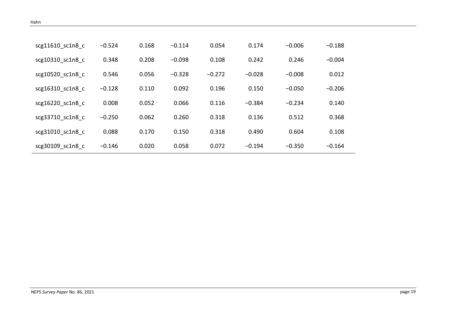| scg11610 sc1n8 c | $-0.524$ | 0.168 | $-0.114$ | 0.054    | 0.174    | $-0.006$ | $-0.188$ |
|------------------|----------|-------|----------|----------|----------|----------|----------|
| scg10310 sc1n8 c | 0.348    | 0.208 | $-0.098$ | 0.108    | 0.242    | 0.246    | $-0.004$ |
| scg10520 sc1n8 c | 0.546    | 0.056 | $-0.328$ | $-0.272$ | $-0.028$ | $-0.008$ | 0.012    |
| scg16310 sc1n8 c | $-0.128$ | 0.110 | 0.092    | 0.196    | 0.150    | $-0.050$ | $-0.206$ |
| scg16220 sc1n8 c | 0.008    | 0.052 | 0.066    | 0.116    | $-0.384$ | $-0.234$ | 0.140    |
| scg33710 sc1n8 c | $-0.250$ | 0.062 | 0.260    | 0.318    | 0.136    | 0.512    | 0.368    |
| scg31010 sc1n8 c | 0.088    | 0.170 | 0.150    | 0.318    | 0.490    | 0.604    | 0.108    |
| scg30109 sc1n8_c | $-0.146$ | 0.020 | 0.058    | 0.072    | $-0.194$ | $-0.350$ | $-0.164$ |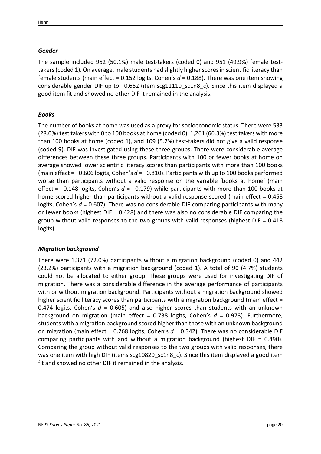## *Gender*

The sample included 952 (50.1%) male test-takers (coded 0) and 951 (49.9%) female testtakers(coded 1). On average, male students had slightly higher scores in scientific literacy than female students (main effect = 0.152 logits, Cohen's *d* = 0.188). There was one item showing considerable gender DIF up to −0.662 (item scg11110\_sc1n8\_c). Since this item displayed a good item fit and showed no other DIF it remained in the analysis.

# *Books*

The number of books at home was used as a proxy for socioeconomic status. There were 533 (28.0%) test takers with 0 to 100 books at home (coded 0), 1,261 (66.3%) test takers with more than 100 books at home (coded 1), and 109 (5.7%) test-takers did not give a valid response (coded 9). DIF was investigated using these three groups. There were considerable average differences between these three groups. Participants with 100 or fewer books at home on average showed lower scientific literacy scores than participants with more than 100 books (main effect = −0.606 logits, Cohen's *d* = −0.810). Participants with up to 100 books performed worse than participants without a valid response on the variable 'books at home' (main effect = −0.148 logits, Cohen's *d* = −0.179) while participants with more than 100 books at home scored higher than participants without a valid response scored (main effect = 0.458 logits, Cohen's *d* = 0.607). There was no considerable DIF comparing participants with many or fewer books (highest DIF = 0.428) and there was also no considerable DIF comparing the group without valid responses to the two groups with valid responses (highest DIF = 0.418 logits).

#### *Migration background*

There were 1,371 (72.0%) participants without a migration background (coded 0) and 442 (23.2%) participants with a migration background (coded 1). A total of 90 (4.7%) students could not be allocated to either group. These groups were used for investigating DIF of migration. There was a considerable difference in the average performance of participants with or without migration background. Participants without a migration background showed higher scientific literacy scores than participants with a migration background (main effect = 0.474 logits, Cohen's  $d = 0.605$ ) and also higher scores than students with an unknown background on migration (main effect = 0.738 logits, Cohen's *d* = 0.973). Furthermore, students with a migration background scored higher than those with an unknown background on migration (main effect = 0.268 logits, Cohen's *d* = 0.342). There was no considerable DIF comparing participants with and without a migration background (highest DIF = 0.490). Comparing the group without valid responses to the two groups with valid responses, there was one item with high DIF (items scg10820 sc1n8 c). Since this item displayed a good item fit and showed no other DIF it remained in the analysis.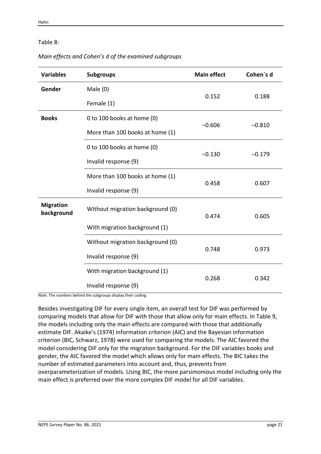#### <span id="page-22-0"></span>Table 8:

*Main effects and Cohen's d of the examined subgroups*

| <b>Variables</b>               | <b>Subgroups</b>                 | <b>Main effect</b> | Cohen's d |  |
|--------------------------------|----------------------------------|--------------------|-----------|--|
| Gender                         | Male $(0)$                       | 0.152              | 0.188     |  |
|                                | Female (1)                       |                    |           |  |
| <b>Books</b>                   | 0 to 100 books at home (0)       |                    |           |  |
|                                | More than 100 books at home (1)  | $-0.606$           | $-0.810$  |  |
|                                | 0 to 100 books at home (0)       |                    | $-0.179$  |  |
|                                | Invalid response (9)             | $-0.130$           |           |  |
|                                | More than 100 books at home (1)  |                    | 0.607     |  |
|                                | Invalid response (9)             | 0.458              |           |  |
| <b>Migration</b><br>background | Without migration background (0) | 0.474              | 0.605     |  |
|                                | With migration background (1)    |                    |           |  |
|                                | Without migration background (0) |                    | 0.973     |  |
|                                | Invalid response (9)             | 0.748              |           |  |
|                                | With migration background (1)    |                    | 0.342     |  |
|                                | Invalid response (9)             | 0.268              |           |  |

*Note.* The numbers behind the subgroups display their coding.

Besides investigating DIF for every single item, an overall test for DIF was performed by comparing models that allow for DIF with those that allow only for main effects. In [Table 9,](#page-23-2) the models including only the main effects are compared with those that additionally estimate DIF. Akaike's (1974) information criterion (AIC) and the Bayesian information criterion (BIC, Schwarz, 1978) were used for comparing the models. The AIC favored the model considering DIF only for the migration background. For the DIF variables books and gender, the AIC favored the model which allows only for main effects. The BIC takes the number of estimated parameters into account and, thus, prevents from overparameterization of models. Using BIC, the more parsimonious model including only the main effect is preferred over the more complex DIF model for all DIF variables.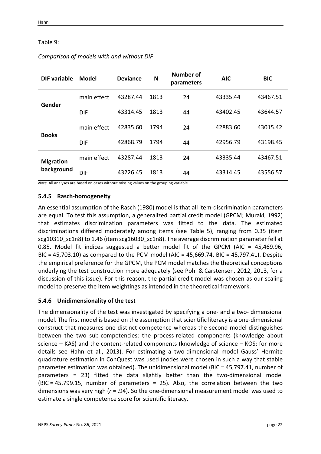#### <span id="page-23-2"></span>Table 9:

| DIF variable                   | <b>Model</b> | <b>Deviance</b> | N    | Number of<br>parameters | <b>AIC</b> | <b>BIC</b> |
|--------------------------------|--------------|-----------------|------|-------------------------|------------|------------|
| Gender                         | main effect  | 43287.44        | 1813 | 24                      | 43335.44   | 43467.51   |
|                                | DIF          | 43314.45        | 1813 | 44                      | 43402.45   | 43644.57   |
| <b>Books</b>                   | main effect  | 42835.60        | 1794 | 24                      | 42883.60   | 43015.42   |
|                                | <b>DIF</b>   | 42868.79        | 1794 | 44                      | 42956.79   | 43198.45   |
| <b>Migration</b><br>background | main effect  | 43287.44        | 1813 | 24                      | 43335.44   | 43467.51   |
|                                | <b>DIF</b>   | 43226.45        | 1813 | 44                      | 43314.45   | 43556.57   |

#### *Comparison of models with and without DIF*

*Note.* All analyses are based on cases without missing values on the grouping variable.

#### <span id="page-23-0"></span>**5.4.5 Rasch-homogeneity**

An essential assumption of the Rasch (1980) model is that all item-discrimination parameters are equal. To test this assumption, a generalized partial credit model (GPCM; Muraki, 1992) that estimates discrimination parameters was fitted to the data. The estimated discriminations differed moderately among items (see Table 5), ranging from 0.35 (item scg10310 sc1n8) to 1.46 (item scg16030 sc1n8). The average discrimination parameter fell at 0.85. Model fit indices suggested a better model fit of the GPCM (AIC = 45,469.96, BIC = 45,703.10) as compared to the PCM model (AIC = 45,669.74, BIC = 45,797.41). Despite the empirical preference for the GPCM, the PCM model matches the theoretical conceptions underlying the test construction more adequately (see Pohl & Carstensen, 2012, 2013, for a discussion of this issue). For this reason, the partial credit model was chosen as our scaling model to preserve the item weightings as intended in the theoretical framework.

#### <span id="page-23-1"></span>**5.4.6 Unidimensionality of the test**

The dimensionality of the test was investigated by specifying a one- and a two- dimensional model. The first model is based on the assumption that scientific literacy is a one-dimensional construct that measures one distinct competence whereas the second model distinguishes between the two sub-competencies: the process-related components (knowledge about science – KAS) and the content-related components (knowledge of science – KOS; for more details see Hahn et al., 2013). For estimating a two-dimensional model Gauss' Hermite quadrature estimation in ConQuest was used (nodes were chosen in such a way that stable parameter estimation was obtained). The unidimensional model (BIC = 45,797.41, number of parameters = 23) fitted the data slightly better than the two-dimensional model (BIC = 45,799.15, number of parameters = 25). Also, the correlation between the two dimensions was very high (*r* = .94). So the one-dimensional measurement model was used to estimate a single competence score for scientific literacy.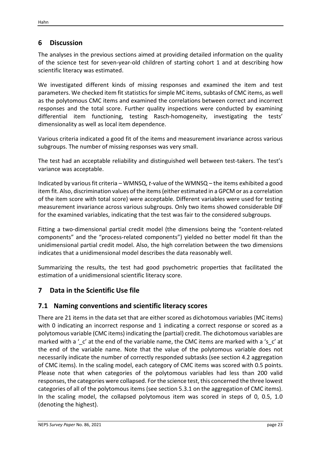# <span id="page-24-0"></span>**6 Discussion**

The analyses in the previous sections aimed at providing detailed information on the quality of the science test for seven-year-old children of starting cohort 1 and at describing how scientific literacy was estimated.

We investigated different kinds of missing responses and examined the item and test parameters. We checked item fit statistics for simple MC items, subtasks of CMC items, as well as the polytomous CMC items and examined the correlations between correct and incorrect responses and the total score. Further quality inspections were conducted by examining differential item functioning, testing Rasch-homogeneity, investigating the tests' dimensionality as well as local item dependence.

Various criteria indicated a good fit of the items and measurement invariance across various subgroups. The number of missing responses was very small.

The test had an acceptable reliability and distinguished well between test-takers. The test's variance was acceptable.

Indicated by various fit criteria – WMNSQ, *t*-value of the WMNSQ – the items exhibited a good item fit. Also, discrimination values of the items (either estimated in a GPCM or as a correlation of the item score with total score) were acceptable. Different variables were used for testing measurement invariance across various subgroups. Only two items showed considerable DIF for the examined variables, indicating that the test was fair to the considered subgroups.

Fitting a two-dimensional partial credit model (the dimensions being the "content-related components" and the "process-related components") yielded no better model fit than the unidimensional partial credit model. Also, the high correlation between the two dimensions indicates that a unidimensional model describes the data reasonably well.

Summarizing the results, the test had good psychometric properties that facilitated the estimation of a unidimensional scientific literacy score.

# <span id="page-24-2"></span><span id="page-24-1"></span>**7 Data in the Scientific Use file**

# **7.1 Naming conventions and scientific literacy scores**

There are 21 items in the data set that are either scored as dichotomous variables (MC items) with 0 indicating an incorrect response and 1 indicating a correct response or scored as a polytomous variable (CMC items) indicating the (partial) credit. The dichotomous variables are marked with a '\_c' at the end of the variable name, the CMC items are marked with a 's\_c' at the end of the variable name. Note that the value of the polytomous variable does not necessarily indicate the number of correctly responded subtasks (see section [4.2](#page-8-2) aggregation of CMC items). In the scaling model, each category of CMC items was scored with 0.5 points. Please note that when categories of the polytomous variables had less than 200 valid responses, the categories were collapsed. For the science test, this concerned the three lowest categories of all of the polytomous items (see sectio[n 5.3.1](#page-16-1) on the aggregation of CMC items). In the scaling model, the collapsed polytomous item was scored in steps of 0, 0.5, 1.0 (denoting the highest).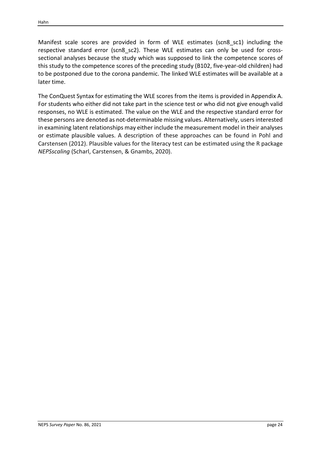Manifest scale scores are provided in form of WLE estimates (scn8\_sc1) including the respective standard error (scn8 sc2). These WLE estimates can only be used for crosssectional analyses because the study which was supposed to link the competence scores of this study to the competence scores of the preceding study (B102, five-year-old children) had to be postponed due to the corona pandemic. The linked WLE estimates will be available at a later time.

The ConQuest Syntax for estimating the WLE scores from the items is provided in Appendix A. For students who either did not take part in the science test or who did not give enough valid responses, no WLE is estimated. The value on the WLE and the respective standard error for these persons are denoted as not-determinable missing values. Alternatively, users interested in examining latent relationships may either include the measurement model in their analyses or estimate plausible values. A description of these approaches can be found in Pohl and Carstensen (2012). Plausible values for the literacy test can be estimated using the R package *NEPSscaling* (Scharl, Carstensen, & Gnambs, 2020).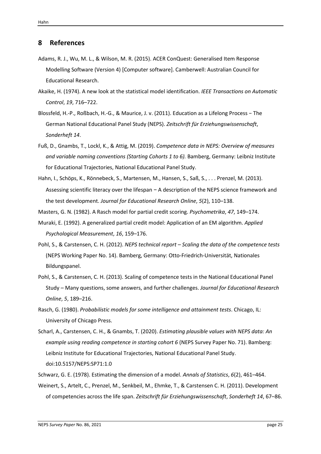#### <span id="page-26-0"></span>**8 References**

- Adams, R. J., Wu, M. L., & Wilson, M. R. (2015). ACER ConQuest: Generalised Item Response Modelling Software (Version 4) [Computer software]. Camberwell: Australian Council for Educational Research.
- Akaike, H. (1974). A new look at the statistical model identification. *IEEE Transactions on Automatic Control*, *19*, 716–722.
- Blossfeld, H.-P., Roßbach, H.-G., & Maurice, J. v. (2011). Education as a Lifelong Process − The German National Educational Panel Study (NEPS). *Zeitschrift für Erziehungswissenschaft*, *Sonderheft 14*.
- Fuß, D., Gnambs, T., Lockl, K., & Attig, M. (2019). *Competence data in NEPS: Overview of measures and variable naming conventions (Starting Cohorts 1 to 6).* Bamberg, Germany: Leibniz Institute for Educational Trajectories, National Educational Panel Study.
- Hahn, I., Schöps, K., Rönnebeck, S., Martensen, M., Hansen, S., Saß, S., . . . Prenzel, M. (2013). Assessing scientific literacy over the lifespan − A description of the NEPS science framework and the test development. *Journal for Educational Research Online*, *5*(2), 110–138.

Masters, G. N. (1982). A Rasch model for partial credit scoring. *Psychometrika*, *47*, 149–174.

- Muraki, E. (1992). A generalized partial credit model: Application of an EM algorithm. *Applied Psychological Measurement*, *16*, 159–176.
- Pohl, S., & Carstensen, C. H. (2012). *NEPS technical report Scaling the data of the competence tests* (NEPS Working Paper No. 14). Bamberg, Germany: Otto-Friedrich-Universität, Nationales Bildungspanel.
- Pohl, S., & Carstensen, C. H. (2013). Scaling of competence tests in the National Educational Panel Study – Many questions, some answers, and further challenges. *Journal for Educational Research Online*, *5*, 189–216.
- Rasch, G. (1980). *Probabilistic models for some intelligence and attainment tests*. Chicago, IL: University of Chicago Press.
- Scharl, A., Carstensen, C. H., & Gnambs, T. (2020). *Estimating plausible values with NEPS data: An example using reading competence in starting cohort 6* (NEPS Survey Paper No. 71). Bamberg: Leibniz Institute for Educational Trajectories, National Educational Panel Study. doi:10.5157/NEPS:SP71:1.0
- Schwarz, G. E. (1978). Estimating the dimension of a model. *Annals of Statistics*, *6*(2), 461–464.
- Weinert, S., Artelt, C., Prenzel, M., Senkbeil, M., Ehmke, T., & Carstensen C. H. (2011). Development of competencies across the life span. *Zeitschrift für Erziehungswissenschaft*, *Sonderheft 14*, 67–86.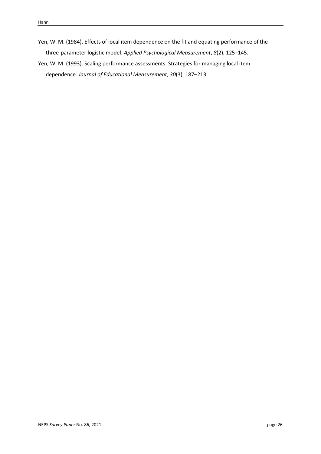- Yen, W. M. (1984). Effects of local item dependence on the fit and equating performance of the three-parameter logistic model. *Applied Psychological Measurement*, *8*(2), 125–145.
- Yen, W. M. (1993). Scaling performance assessments: Strategies for managing local item dependence. *Journal of Educational Measurement*, *30*(3), 187–213.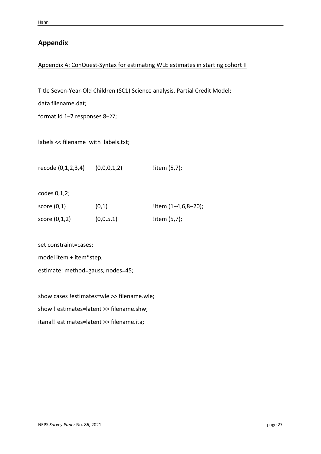# **Appendix**

## Appendix A: ConQuest-Syntax for estimating WLE estimates in starting cohort II

Title Seven-Year-Old Children (SC1) Science analysis, Partial Credit Model;

data filename.dat;

format id 1–7 responses 8–27;

labels << filename\_with\_labels.txt;

recode (0,1,2,3,4) (0,0,0,1,2) !item (5,7);

codes 0,1,2;

| score $(0,1)$   | (0,1)     | litem $(1-4,6,8-20)$ ; |
|-----------------|-----------|------------------------|
| score $(0,1,2)$ | (0,0.5,1) | litem $(5,7)$ ;        |

set constraint=cases;

model item + item\*step;

estimate; method=gauss, nodes=45;

show cases !estimates=wle >> filename.wle; show ! estimates=latent >> filename.shw; itanal! estimates=latent >> filename.ita;